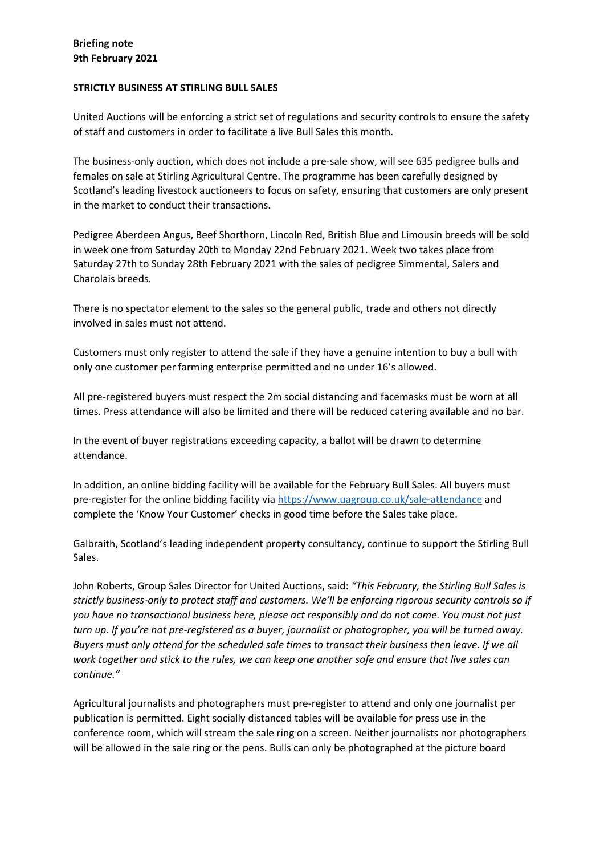# **Briefing note 9th February 2021**

### **STRICTLY BUSINESS AT STIRLING BULL SALES**

United Auctions will be enforcing a strict set of regulations and security controls to ensure the safety of staff and customers in order to facilitate a live Bull Sales this month.

The business-only auction, which does not include a pre-sale show, will see 635 pedigree bulls and females on sale at Stirling Agricultural Centre. The programme has been carefully designed by Scotland's leading livestock auctioneers to focus on safety, ensuring that customers are only present in the market to conduct their transactions.

Pedigree Aberdeen Angus, Beef Shorthorn, Lincoln Red, British Blue and Limousin breeds will be sold in week one from Saturday 20th to Monday 22nd February 2021. Week two takes place from Saturday 27th to Sunday 28th February 2021 with the sales of pedigree Simmental, Salers and Charolais breeds.

There is no spectator element to the sales so the general public, trade and others not directly involved in sales must not attend.

Customers must only register to attend the sale if they have a genuine intention to buy a bull with only one customer per farming enterprise permitted and no under 16's allowed.

All pre-registered buyers must respect the 2m social distancing and facemasks must be worn at all times. Press attendance will also be limited and there will be reduced catering available and no bar.

In the event of buyer registrations exceeding capacity, a ballot will be drawn to determine attendance.

In addition, an online bidding facility will be available for the February Bull Sales. All buyers must pre-register for the online bidding facility via https://www.uagroup.co.uk/sale-attendance and complete the 'Know Your Customer' checks in good time before the Sales take place.

Galbraith, Scotland's leading independent property consultancy, continue to support the Stirling Bull Sales.

John Roberts, Group Sales Director for United Auctions, said: *"This February, the Stirling Bull Sales is strictly business-only to protect staff and customers. We'll be enforcing rigorous security controls so if you have no transactional business here, please act responsibly and do not come. You must not just turn up. If you're not pre-registered as a buyer, journalist or photographer, you will be turned away. Buyers must only attend for the scheduled sale times to transact their business then leave. If we all work together and stick to the rules, we can keep one another safe and ensure that live sales can continue."*

Agricultural journalists and photographers must pre-register to attend and only one journalist per publication is permitted. Eight socially distanced tables will be available for press use in the conference room, which will stream the sale ring on a screen. Neither journalists nor photographers will be allowed in the sale ring or the pens. Bulls can only be photographed at the picture board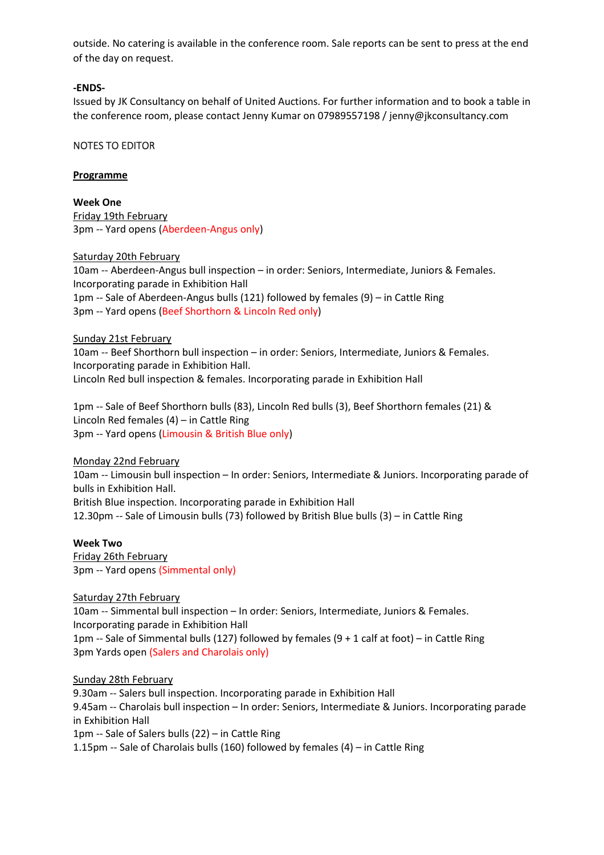outside. No catering is available in the conference room. Sale reports can be sent to press at the end of the day on request.

### **-ENDS-**

Issued by JK Consultancy on behalf of United Auctions. For further information and to book a table in the conference room, please contact Jenny Kumar on 07989557198 / jenny@jkconsultancy.com

## NOTES TO EDITOR

### **Programme**

**Week One** Friday 19th February 3pm -- Yard opens (Aberdeen-Angus only)

Saturday 20th February

10am -- Aberdeen-Angus bull inspection – in order: Seniors, Intermediate, Juniors & Females. Incorporating parade in Exhibition Hall 1pm -- Sale of Aberdeen-Angus bulls (121) followed by females (9) – in Cattle Ring 3pm -- Yard opens (Beef Shorthorn & Lincoln Red only)

#### Sunday 21st February

10am -- Beef Shorthorn bull inspection – in order: Seniors, Intermediate, Juniors & Females. Incorporating parade in Exhibition Hall. Lincoln Red bull inspection & females. Incorporating parade in Exhibition Hall

1pm -- Sale of Beef Shorthorn bulls (83), Lincoln Red bulls (3), Beef Shorthorn females (21) & Lincoln Red females (4) – in Cattle Ring 3pm -- Yard opens (Limousin & British Blue only)

Monday 22nd February 10am -- Limousin bull inspection – In order: Seniors, Intermediate & Juniors. Incorporating parade of bulls in Exhibition Hall. British Blue inspection. Incorporating parade in Exhibition Hall 12.30pm -- Sale of Limousin bulls (73) followed by British Blue bulls (3) – in Cattle Ring

#### **Week Two**

Friday 26th February 3pm -- Yard opens (Simmental only)

Saturday 27th February

10am -- Simmental bull inspection – In order: Seniors, Intermediate, Juniors & Females. Incorporating parade in Exhibition Hall 1pm -- Sale of Simmental bulls (127) followed by females (9 + 1 calf at foot) – in Cattle Ring 3pm Yards open (Salers and Charolais only)

Sunday 28th February

9.30am -- Salers bull inspection. Incorporating parade in Exhibition Hall 9.45am -- Charolais bull inspection – In order: Seniors, Intermediate & Juniors. Incorporating parade in Exhibition Hall 1pm -- Sale of Salers bulls (22) – in Cattle Ring 1.15pm -- Sale of Charolais bulls (160) followed by females (4) – in Cattle Ring